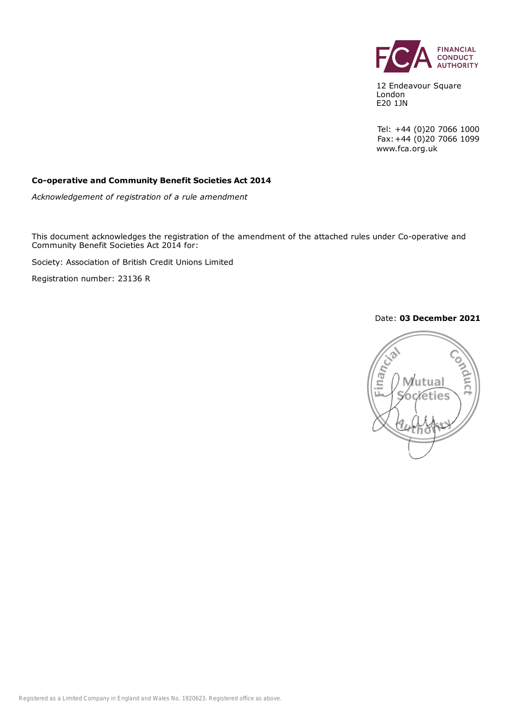

12 Endeavour Square London E20 1JN

Tel: +44 (0)20 7066 1000 Fax:+44 (0)20 7066 1099 www.fca.org.uk

#### **Co-operative and Community Benefit Societies Act 2014**

*Acknowledgement of registration of a rule amendment*

This document acknowledges the registration of the amendment of the attached rules under Co-operative and Community Benefit Societies Act 2014 for:

Society: Association of British Credit Unions Limited

Registration number: 23136 R

#### Date: **03 December 2021**

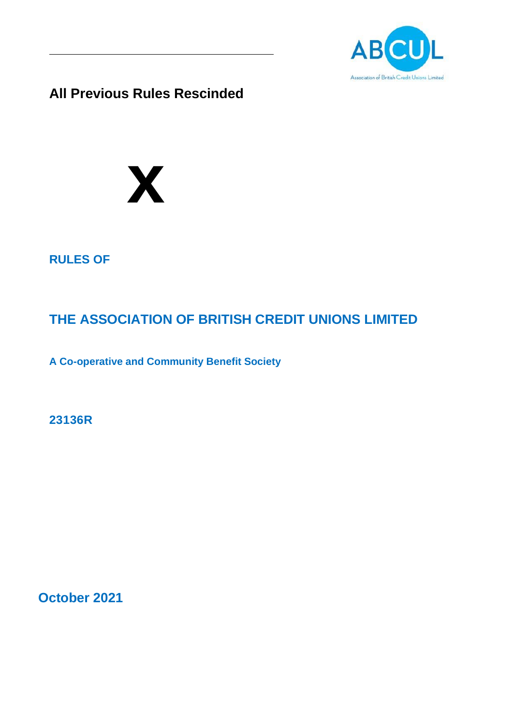

**All Previous Rules Rescinded**



# **RULES OF**

# **THE ASSOCIATION OF BRITISH CREDIT UNIONS LIMITED**

**A Co-operative and Community Benefit Society**

**23136R**

**October 2021**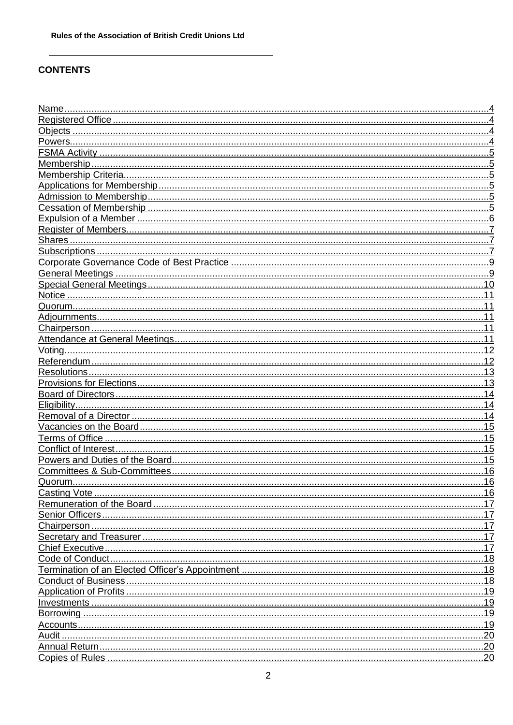# **CONTENTS**

| .11  |
|------|
| .11  |
| .11  |
| .11  |
| .11  |
|      |
|      |
|      |
| 13   |
| . 14 |
|      |
| 14   |
| .15  |
| 15   |
| 15   |
|      |
| 16   |
|      |
|      |
|      |
|      |
|      |
|      |
|      |
|      |
|      |
|      |
| 19   |
| 19   |
| 19   |
|      |
|      |
|      |
|      |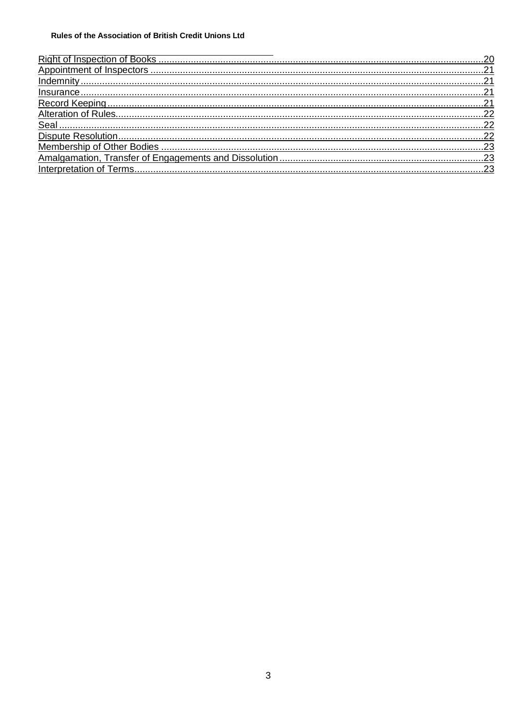| Seal |  |
|------|--|
|      |  |
|      |  |
|      |  |
|      |  |
|      |  |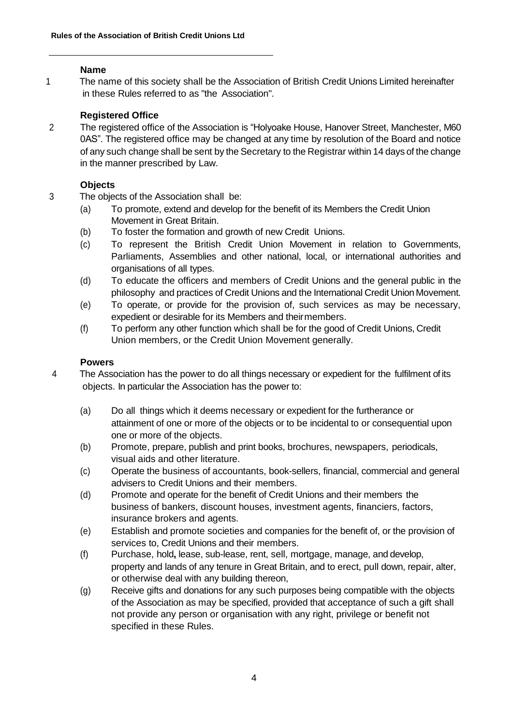# **Name**

1 The name of this society shall be the Association of British Credit Unions Limited hereinafter in these Rules referred to as "the Association".

# **Registered Office**

2 The registered office of the Association is "Holyoake House, Hanover Street, Manchester, M60 0AS". The registered office may be changed at any time by resolution of the Board and notice of any such change shall be sent by the Secretary to the Registrar within 14 days of the change in the manner prescribed by Law.

# **Objects**

- 3 The objects of the Association shall be:
	- (a) To promote, extend and develop for the benefit of its Members the Credit Union Movement in Great Britain.
	- (b) To foster the formation and growth of new Credit Unions.
	- (c) To represent the British Credit Union Movement in relation to Governments, Parliaments, Assemblies and other national, local, or international authorities and organisations of all types.
	- (d) To educate the officers and members of Credit Unions and the general public in the philosophy and practices of Credit Unions and the International Credit Union Movement.
	- (e) To operate, or provide for the provision of, such services as may be necessary, expedient or desirable for its Members and theirmembers.
	- (f) To perform any other function which shall be for the good of Credit Unions, Credit Union members, or the Credit Union Movement generally.

# **Powers**

- 4 The Association has the power to do all things necessary or expedient for the fulfilment of its objects. In particular the Association has the power to:
	- (a) Do all things which it deems necessary or expedient for the furtherance or attainment of one or more of the objects or to be incidental to or consequential upon one or more of the objects.
	- (b) Promote, prepare, publish and print books, brochures, newspapers, periodicals, visual aids and other literature.
	- (c) Operate the business of accountants, book-sellers, financial, commercial and general advisers to Credit Unions and their members.
	- (d) Promote and operate for the benefit of Credit Unions and their members the business of bankers, discount houses, investment agents, financiers, factors, insurance brokers and agents.
	- (e) Establish and promote societies and companies for the benefit of, or the provision of services to, Credit Unions and their members.
	- (f) Purchase, hold**,** lease, sub-lease, rent, sell, mortgage, manage, and develop, property and lands of any tenure in Great Britain, and to erect, pull down, repair, alter, or otherwise deal with any building thereon,
	- (g) Receive gifts and donations for any such purposes being compatible with the objects of the Association as may be specified, provided that acceptance of such a gift shall not provide any person or organisation with any right, privilege or benefit not specified in these Rules.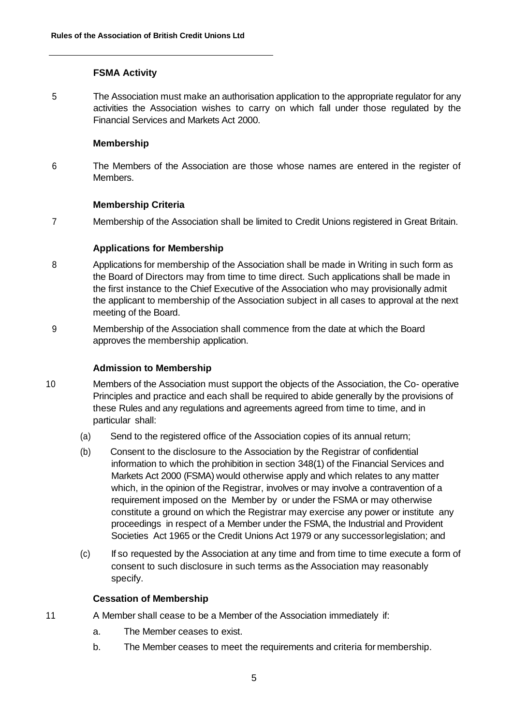#### **FSMA Activity**

5 The Association must make an authorisation application to the appropriate regulator for any activities the Association wishes to carry on which fall under those regulated by the Financial Services and Markets Act 2000.

#### **Membership**

6 The Members of the Association are those whose names are entered in the register of Members.

#### **Membership Criteria**

7 Membership of the Association shall be limited to Credit Unions registered in Great Britain.

#### **Applications for Membership**

- 8 Applications for membership of the Association shall be made in Writing in such form as the Board of Directors may from time to time direct. Such applications shall be made in the first instance to the Chief Executive of the Association who may provisionally admit the applicant to membership of the Association subject in all cases to approval at the next meeting of the Board.
- 9 Membership of the Association shall commence from the date at which the Board approves the membership application.

# **Admission to Membership**

- 10 Members of the Association must support the objects of the Association, the Co- operative Principles and practice and each shall be required to abide generally by the provisions of these Rules and any regulations and agreements agreed from time to time, and in particular shall:
	- (a) Send to the registered office of the Association copies of its annual return;
	- (b) Consent to the disclosure to the Association by the Registrar of confidential information to which the prohibition in section 348(1) of the Financial Services and Markets Act 2000 (FSMA) would otherwise apply and which relates to any matter which, in the opinion of the Registrar, involves or may involve a contravention of a requirement imposed on the Member by or under the FSMA or may otherwise constitute a ground on which the Registrar may exercise any power or institute any proceedings in respect of a Member under the FSMA, the Industrial and Provident Societies Act 1965 or the Credit Unions Act 1979 or any successorlegislation; and
	- (c) If so requested by the Association at any time and from time to time execute a form of consent to such disclosure in such terms as the Association may reasonably specify.

# **Cessation of Membership**

- 11 A Member shall cease to be a Member of the Association immediately if:
	- a. The Member ceases to exist.
	- b. The Member ceases to meet the requirements and criteria for membership.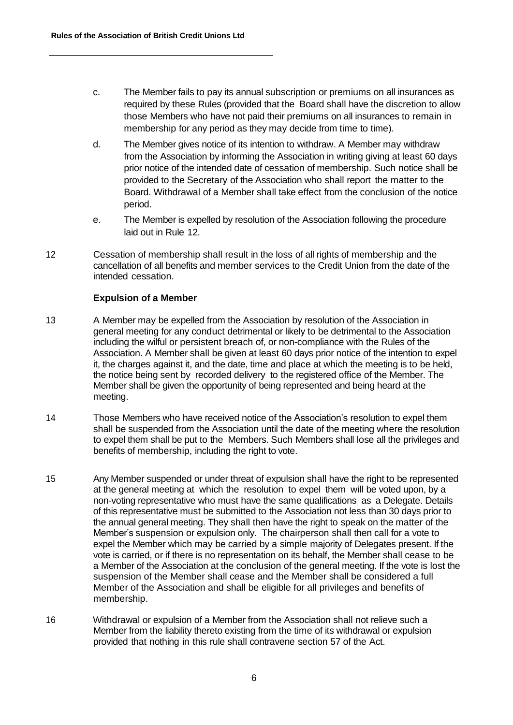- c. The Member fails to pay its annual subscription or premiums on all insurances as required by these Rules (provided that the Board shall have the discretion to allow those Members who have not paid their premiums on all insurances to remain in membership for any period as they may decide from time to time).
- d. The Member gives notice of its intention to withdraw. A Member may withdraw from the Association by informing the Association in writing giving at least 60 days prior notice of the intended date of cessation of membership. Such notice shall be provided to the Secretary of the Association who shall report the matter to the Board. Withdrawal of a Member shall take effect from the conclusion of the notice period.
- e. The Member is expelled by resolution of the Association following the procedure laid out in Rule 12.
- 12 Cessation of membership shall result in the loss of all rights of membership and the cancellation of all benefits and member services to the Credit Union from the date of the intended cessation.

# **Expulsion of a Member**

- 13 A Member may be expelled from the Association by resolution of the Association in general meeting for any conduct detrimental or likely to be detrimental to the Association including the wilful or persistent breach of, or non-compliance with the Rules of the Association. A Member shall be given at least 60 days prior notice of the intention to expel it, the charges against it, and the date, time and place at which the meeting is to be held, the notice being sent by recorded delivery to the registered office of the Member. The Member shall be given the opportunity of being represented and being heard at the meeting.
- 14 Those Members who have received notice of the Association's resolution to expel them shall be suspended from the Association until the date of the meeting where the resolution to expel them shall be put to the Members. Such Members shall lose all the privileges and benefits of membership, including the right to vote.
- 15 Any Member suspended or under threat of expulsion shall have the right to be represented at the general meeting at which the resolution to expel them will be voted upon, by a non-voting representative who must have the same qualifications as a Delegate. Details of this representative must be submitted to the Association not less than 30 days prior to the annual general meeting. They shall then have the right to speak on the matter of the Member's suspension or expulsion only. The chairperson shall then call for a vote to expel the Member which may be carried by a simple majority of Delegates present. If the vote is carried, or if there is no representation on its behalf, the Member shall cease to be a Member of the Association at the conclusion of the general meeting. If the vote is lost the suspension of the Member shall cease and the Member shall be considered a full Member of the Association and shall be eligible for all privileges and benefits of membership.
- 16 Withdrawal or expulsion of a Member from the Association shall not relieve such a Member from the liability thereto existing from the time of its withdrawal or expulsion provided that nothing in this rule shall contravene section 57 of the Act.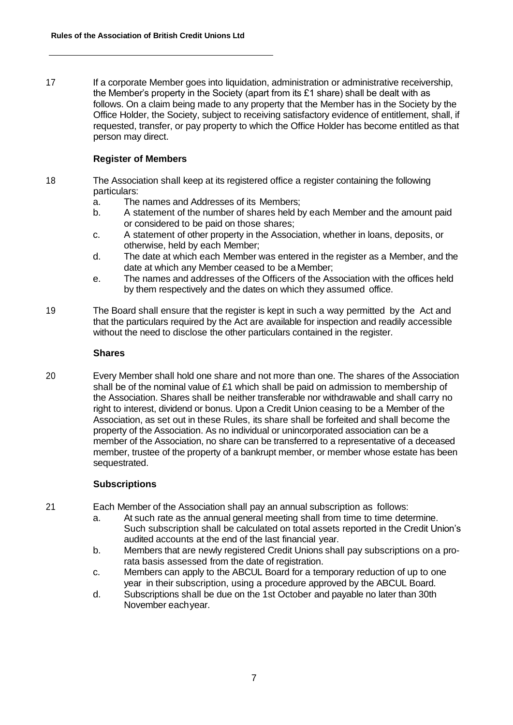17 If a corporate Member goes into liquidation, administration or administrative receivership, the Member's property in the Society (apart from its £1 share) shall be dealt with as follows. On a claim being made to any property that the Member has in the Society by the Office Holder, the Society, subject to receiving satisfactory evidence of entitlement, shall, if requested, transfer, or pay property to which the Office Holder has become entitled as that person may direct.

# **Register of Members**

- 18 The Association shall keep at its registered office a register containing the following particulars:
	- a. The names and Addresses of its Members;
	- b. A statement of the number of shares held by each Member and the amount paid or considered to be paid on those shares;
	- c. A statement of other property in the Association, whether in loans, deposits, or otherwise, held by each Member;
	- d. The date at which each Member was entered in the register as a Member, and the date at which any Member ceased to be a Member;
	- e. The names and addresses of the Officers of the Association with the offices held by them respectively and the dates on which they assumed office.
- 19 The Board shall ensure that the register is kept in such a way permitted by the Act and that the particulars required by the Act are available for inspection and readily accessible without the need to disclose the other particulars contained in the register.

#### **Shares**

20 Every Member shall hold one share and not more than one. The shares of the Association shall be of the nominal value of £1 which shall be paid on admission to membership of the Association. Shares shall be neither transferable nor withdrawable and shall carry no right to interest, dividend or bonus. Upon a Credit Union ceasing to be a Member of the Association, as set out in these Rules, its share shall be forfeited and shall become the property of the Association. As no individual or unincorporated association can be a member of the Association, no share can be transferred to a representative of a deceased member, trustee of the property of a bankrupt member, or member whose estate has been sequestrated.

#### **Subscriptions**

- 21 Each Member of the Association shall pay an annual subscription as follows:
	- a. At such rate as the annual general meeting shall from time to time determine. Such subscription shall be calculated on total assets reported in the Credit Union's audited accounts at the end of the last financial year.
	- b. Members that are newly registered Credit Unions shall pay subscriptions on a prorata basis assessed from the date of registration.
	- c. Members can apply to the ABCUL Board for a temporary reduction of up to one year in their subscription, using a procedure approved by the ABCUL Board.
	- d. Subscriptions shall be due on the 1st October and payable no later than 30th November eachyear.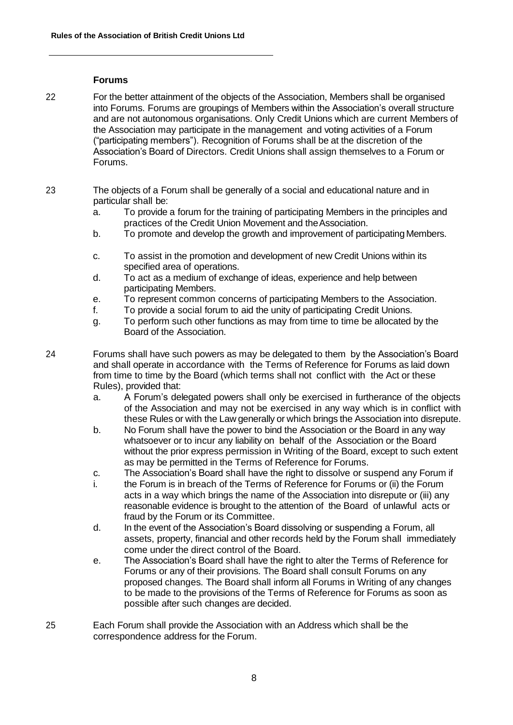#### **Forums**

- 22 For the better attainment of the objects of the Association, Members shall be organised into Forums. Forums are groupings of Members within the Association's overall structure and are not autonomous organisations. Only Credit Unions which are current Members of the Association may participate in the management and voting activities of a Forum ("participating members"). Recognition of Forums shall be at the discretion of the Association's Board of Directors. Credit Unions shall assign themselves to a Forum or Forums.
- 23 The objects of a Forum shall be generally of a social and educational nature and in particular shall be:
	- a. To provide a forum for the training of participating Members in the principles and practices of the Credit Union Movement and theAssociation.
	- b. To promote and develop the growth and improvement of participating Members.
	- c. To assist in the promotion and development of new Credit Unions within its specified area of operations.
	- d. To act as a medium of exchange of ideas, experience and help between participating Members.
	- e. To represent common concerns of participating Members to the Association.
	- f. To provide a social forum to aid the unity of participating Credit Unions.
	- g. To perform such other functions as may from time to time be allocated by the Board of the Association.
- 24 Forums shall have such powers as may be delegated to them by the Association's Board and shall operate in accordance with the Terms of Reference for Forums as laid down from time to time by the Board (which terms shall not conflict with the Act or these Rules), provided that:
	- a. A Forum's delegated powers shall only be exercised in furtherance of the objects of the Association and may not be exercised in any way which is in conflict with these Rules or with the Law generally or which brings the Association into disrepute.
	- b. No Forum shall have the power to bind the Association or the Board in any way whatsoever or to incur any liability on behalf of the Association or the Board without the prior express permission in Writing of the Board, except to such extent as may be permitted in the Terms of Reference for Forums.
	- c. The Association's Board shall have the right to dissolve or suspend any Forum if
	- i. the Forum is in breach of the Terms of Reference for Forums or (ii) the Forum acts in a way which brings the name of the Association into disrepute or (iii) any reasonable evidence is brought to the attention of the Board of unlawful acts or fraud by the Forum or its Committee.
	- d. In the event of the Association's Board dissolving or suspending a Forum, all assets, property, financial and other records held by the Forum shall immediately come under the direct control of the Board.
	- e. The Association's Board shall have the right to alter the Terms of Reference for Forums or any of their provisions. The Board shall consult Forums on any proposed changes. The Board shall inform all Forums in Writing of any changes to be made to the provisions of the Terms of Reference for Forums as soon as possible after such changes are decided.
- 25 Each Forum shall provide the Association with an Address which shall be the correspondence address for the Forum.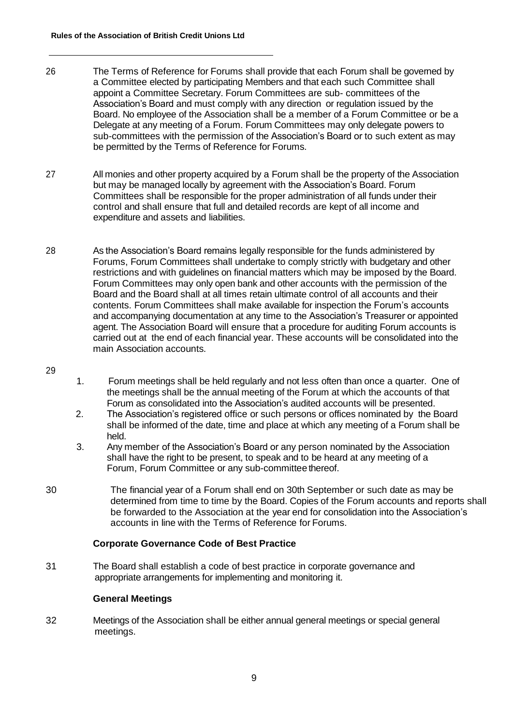- 26 The Terms of Reference for Forums shall provide that each Forum shall be governed by a Committee elected by participating Members and that each such Committee shall appoint a Committee Secretary. Forum Committees are sub- committees of the Association's Board and must comply with any direction or regulation issued by the Board. No employee of the Association shall be a member of a Forum Committee or be a Delegate at any meeting of a Forum. Forum Committees may only delegate powers to sub-committees with the permission of the Association's Board or to such extent as may be permitted by the Terms of Reference for Forums.
- 27 All monies and other property acquired by a Forum shall be the property of the Association but may be managed locally by agreement with the Association's Board. Forum Committees shall be responsible for the proper administration of all funds under their control and shall ensure that full and detailed records are kept of all income and expenditure and assets and liabilities.
- 28 As the Association's Board remains legally responsible for the funds administered by Forums, Forum Committees shall undertake to comply strictly with budgetary and other restrictions and with guidelines on financial matters which may be imposed by the Board. Forum Committees may only open bank and other accounts with the permission of the Board and the Board shall at all times retain ultimate control of all accounts and their contents. Forum Committees shall make available for inspection the Forum's accounts and accompanying documentation at any time to the Association's Treasurer or appointed agent. The Association Board will ensure that a procedure for auditing Forum accounts is carried out at the end of each financial year. These accounts will be consolidated into the main Association accounts.
- 29
- 1. Forum meetings shall be held regularly and not less often than once a quarter. One of the meetings shall be the annual meeting of the Forum at which the accounts of that Forum as consolidated into the Association's audited accounts will be presented.
- 2. The Association's registered office or such persons or offices nominated by the Board shall be informed of the date, time and place at which any meeting of a Forum shall be held.
- 3. Any member of the Association's Board or any person nominated by the Association shall have the right to be present, to speak and to be heard at any meeting of a Forum, Forum Committee or any sub-committee thereof.
- 30 The financial year of a Forum shall end on 30th September or such date as may be determined from time to time by the Board. Copies of the Forum accounts and reports shall be forwarded to the Association at the year end for consolidation into the Association's accounts in line with the Terms of Reference for Forums.

#### **Corporate Governance Code of Best Practice**

31 The Board shall establish a code of best practice in corporate governance and appropriate arrangements for implementing and monitoring it.

# **General Meetings**

32 Meetings of the Association shall be either annual general meetings or special general meetings.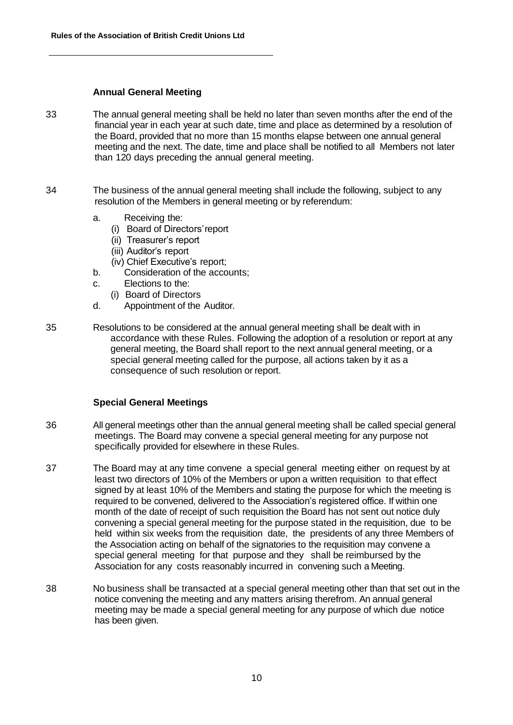#### **Annual General Meeting**

- 33 The annual general meeting shall be held no later than seven months after the end of the financial year in each year at such date, time and place as determined by a resolution of the Board, provided that no more than 15 months elapse between one annual general meeting and the next. The date, time and place shall be notified to all Members not later than 120 days preceding the annual general meeting.
- 34 The business of the annual general meeting shall include the following, subject to any resolution of the Members in general meeting or by referendum:
	- a. Receiving the:
		- (i) Board of Directors'report
		- (ii) Treasurer's report
		- (iii) Auditor's report
		- (iv) Chief Executive's report;
	- b. Consideration of the accounts;
	- c. Elections to the:
		- (i) Board of Directors
	- d. Appointment of the Auditor.
- 35 Resolutions to be considered at the annual general meeting shall be dealt with in accordance with these Rules. Following the adoption of a resolution or report at any general meeting, the Board shall report to the next annual general meeting, or a special general meeting called for the purpose, all actions taken by it as a consequence of such resolution or report.

# **Special General Meetings**

- 36 All general meetings other than the annual general meeting shall be called special general meetings. The Board may convene a special general meeting for any purpose not specifically provided for elsewhere in these Rules.
- 37 The Board may at any time convene a special general meeting either on request by at least two directors of 10% of the Members or upon a written requisition to that effect signed by at least 10% of the Members and stating the purpose for which the meeting is required to be convened, delivered to the Association's registered office. If within one month of the date of receipt of such requisition the Board has not sent out notice duly convening a special general meeting for the purpose stated in the requisition, due to be held within six weeks from the requisition date, the presidents of any three Members of the Association acting on behalf of the signatories to the requisition may convene a special general meeting for that purpose and they shall be reimbursed by the Association for any costs reasonably incurred in convening such a Meeting.
- 38 No business shall be transacted at a special general meeting other than that set out in the notice convening the meeting and any matters arising therefrom. An annual general meeting may be made a special general meeting for any purpose of which due notice has been given.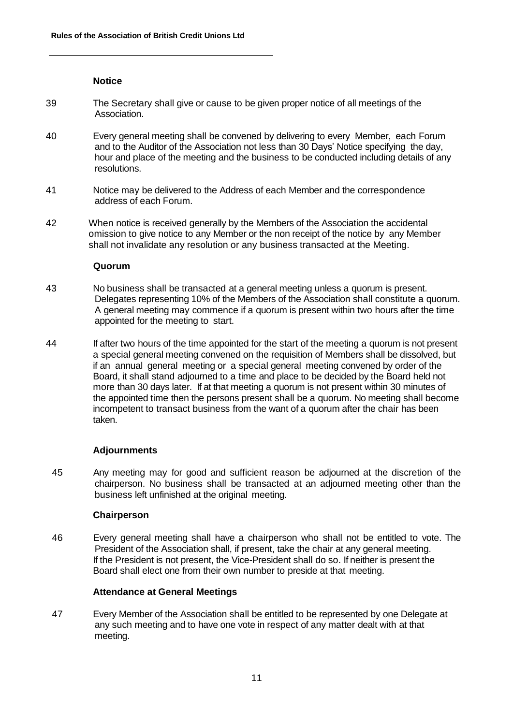# **Notice**

- 39 The Secretary shall give or cause to be given proper notice of all meetings of the Association.
- 40 Every general meeting shall be convened by delivering to every Member, each Forum and to the Auditor of the Association not less than 30 Days' Notice specifying the day, hour and place of the meeting and the business to be conducted including details of any resolutions.
- 41 Notice may be delivered to the Address of each Member and the correspondence address of each Forum.
- 42 When notice is received generally by the Members of the Association the accidental omission to give notice to any Member or the non receipt of the notice by any Member shall not invalidate any resolution or any business transacted at the Meeting.

#### **Quorum**

- 43 No business shall be transacted at a general meeting unless a quorum is present. Delegates representing 10% of the Members of the Association shall constitute a quorum. A general meeting may commence if a quorum is present within two hours after the time appointed for the meeting to start.
- 44 If after two hours of the time appointed for the start of the meeting a quorum is not present a special general meeting convened on the requisition of Members shall be dissolved, but if an annual general meeting or a special general meeting convened by order of the Board, it shall stand adjourned to a time and place to be decided by the Board held not more than 30 days later. If at that meeting a quorum is not present within 30 minutes of the appointed time then the persons present shall be a quorum. No meeting shall become incompetent to transact business from the want of a quorum after the chair has been taken.

# **Adjournments**

45 Any meeting may for good and sufficient reason be adjourned at the discretion of the chairperson. No business shall be transacted at an adjourned meeting other than the business left unfinished at the original meeting.

#### **Chairperson**

46 Every general meeting shall have a chairperson who shall not be entitled to vote. The President of the Association shall, if present, take the chair at any general meeting. If the President is not present, the Vice-President shall do so. If neither is present the Board shall elect one from their own number to preside at that meeting.

# **Attendance at General Meetings**

47 Every Member of the Association shall be entitled to be represented by one Delegate at any such meeting and to have one vote in respect of any matter dealt with at that meeting.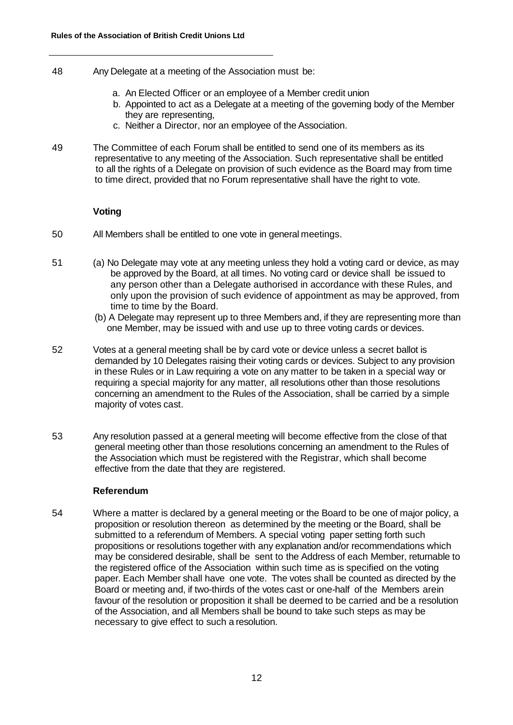- 48 Any Delegate at a meeting of the Association must be:
	- a. An Elected Officer or an employee of a Member credit union
	- b. Appointed to act as a Delegate at a meeting of the governing body of the Member they are representing,
	- c. Neither a Director, nor an employee of the Association.
- 49 The Committee of each Forum shall be entitled to send one of its members as its representative to any meeting of the Association. Such representative shall be entitled to all the rights of a Delegate on provision of such evidence as the Board may from time to time direct, provided that no Forum representative shall have the right to vote.

#### **Voting**

- 50 All Members shall be entitled to one vote in general meetings.
- 51 (a) No Delegate may vote at any meeting unless they hold a voting card or device, as may be approved by the Board, at all times. No voting card or device shall be issued to any person other than a Delegate authorised in accordance with these Rules, and only upon the provision of such evidence of appointment as may be approved, from time to time by the Board.
	- (b) A Delegate may represent up to three Members and, if they are representing more than one Member, may be issued with and use up to three voting cards or devices.
- 52 Votes at a general meeting shall be by card vote or device unless a secret ballot is demanded by 10 Delegates raising their voting cards or devices. Subject to any provision in these Rules or in Law requiring a vote on any matter to be taken in a special way or requiring a special majority for any matter, all resolutions other than those resolutions concerning an amendment to the Rules of the Association, shall be carried by a simple majority of votes cast.
- 53 Any resolution passed at a general meeting will become effective from the close of that general meeting other than those resolutions concerning an amendment to the Rules of the Association which must be registered with the Registrar, which shall become effective from the date that they are registered.

#### **Referendum**

54 Where a matter is declared by a general meeting or the Board to be one of major policy, a proposition or resolution thereon as determined by the meeting or the Board, shall be submitted to a referendum of Members. A special voting paper setting forth such propositions or resolutions together with any explanation and/or recommendations which may be considered desirable, shall be sent to the Address of each Member, returnable to the registered office of the Association within such time as is specified on the voting paper. Each Member shall have one vote. The votes shall be counted as directed by the Board or meeting and, if two-thirds of the votes cast or one-half of the Members arein favour of the resolution or proposition it shall be deemed to be carried and be a resolution of the Association, and all Members shall be bound to take such steps as may be necessary to give effect to such a resolution.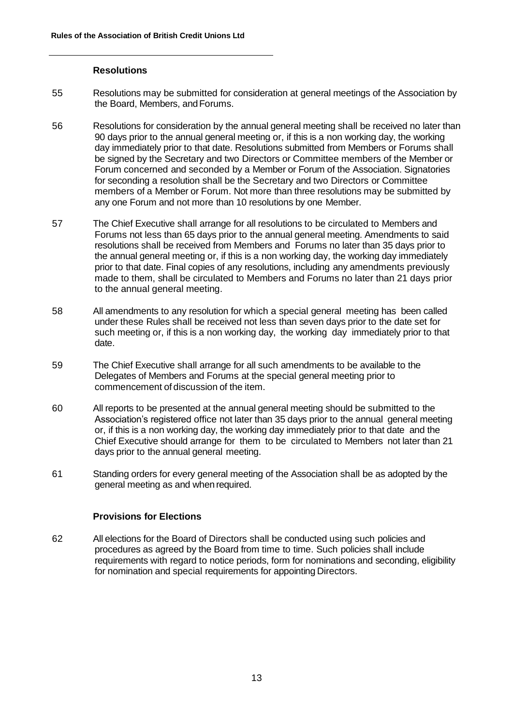#### **Resolutions**

- 55 Resolutions may be submitted for consideration at general meetings of the Association by the Board, Members, andForums.
- 56 Resolutions for consideration by the annual general meeting shall be received no later than 90 days prior to the annual general meeting or, if this is a non working day, the working day immediately prior to that date. Resolutions submitted from Members or Forums shall be signed by the Secretary and two Directors or Committee members of the Member or Forum concerned and seconded by a Member or Forum of the Association. Signatories for seconding a resolution shall be the Secretary and two Directors or Committee members of a Member or Forum. Not more than three resolutions may be submitted by any one Forum and not more than 10 resolutions by one Member.
- 57 The Chief Executive shall arrange for all resolutions to be circulated to Members and Forums not less than 65 days prior to the annual general meeting. Amendments to said resolutions shall be received from Members and Forums no later than 35 days prior to the annual general meeting or, if this is a non working day, the working day immediately prior to that date. Final copies of any resolutions, including any amendments previously made to them, shall be circulated to Members and Forums no later than 21 days prior to the annual general meeting.
- 58 All amendments to any resolution for which a special general meeting has been called under these Rules shall be received not less than seven days prior to the date set for such meeting or, if this is a non working day, the working day immediately prior to that date.
- 59 The Chief Executive shall arrange for all such amendments to be available to the Delegates of Members and Forums at the special general meeting prior to commencement of discussion of the item.
- 60 All reports to be presented at the annual general meeting should be submitted to the Association's registered office not later than 35 days prior to the annual general meeting or, if this is a non working day, the working day immediately prior to that date and the Chief Executive should arrange for them to be circulated to Members not later than 21 days prior to the annual general meeting.
- 61 Standing orders for every general meeting of the Association shall be as adopted by the general meeting as and when required.

# **Provisions for Elections**

62 All elections for the Board of Directors shall be conducted using such policies and procedures as agreed by the Board from time to time. Such policies shall include requirements with regard to notice periods, form for nominations and seconding, eligibility for nomination and special requirements for appointing Directors.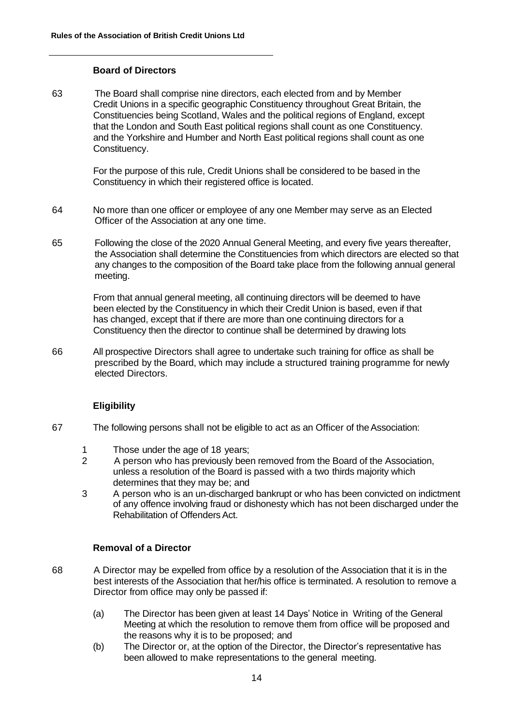### **Board of Directors**

63 The Board shall comprise nine directors, each elected from and by Member Credit Unions in a specific geographic Constituency throughout Great Britain, the Constituencies being Scotland, Wales and the political regions of England, except that the London and South East political regions shall count as one Constituency. and the Yorkshire and Humber and North East political regions shall count as one Constituency.

> For the purpose of this rule, Credit Unions shall be considered to be based in the Constituency in which their registered office is located.

- 64 No more than one officer or employee of any one Member may serve as an Elected Officer of the Association at any one time.
- 65 Following the close of the 2020 Annual General Meeting, and every five years thereafter, the Association shall determine the Constituencies from which directors are elected so that any changes to the composition of the Board take place from the following annual general meeting.

From that annual general meeting, all continuing directors will be deemed to have been elected by the Constituency in which their Credit Union is based, even if that has changed, except that if there are more than one continuing directors for a Constituency then the director to continue shall be determined by drawing lots

66 All prospective Directors shall agree to undertake such training for office as shall be prescribed by the Board, which may include a structured training programme for newly elected Directors.

# **Eligibility**

- 67 The following persons shall not be eligible to act as an Officer of theAssociation:
	- 1 Those under the age of 18 years;
	- 2 A person who has previously been removed from the Board of the Association, unless a resolution of the Board is passed with a two thirds majority which determines that they may be; and
	- 3 A person who is an un-discharged bankrupt or who has been convicted on indictment of any offence involving fraud or dishonesty which has not been discharged under the Rehabilitation of Offenders Act.

# **Removal of a Director**

- 68 A Director may be expelled from office by a resolution of the Association that it is in the best interests of the Association that her/his office is terminated. A resolution to remove a Director from office may only be passed if:
	- (a) The Director has been given at least 14 Days' Notice in Writing of the General Meeting at which the resolution to remove them from office will be proposed and the reasons why it is to be proposed; and
	- (b) The Director or, at the option of the Director, the Director's representative has been allowed to make representations to the general meeting.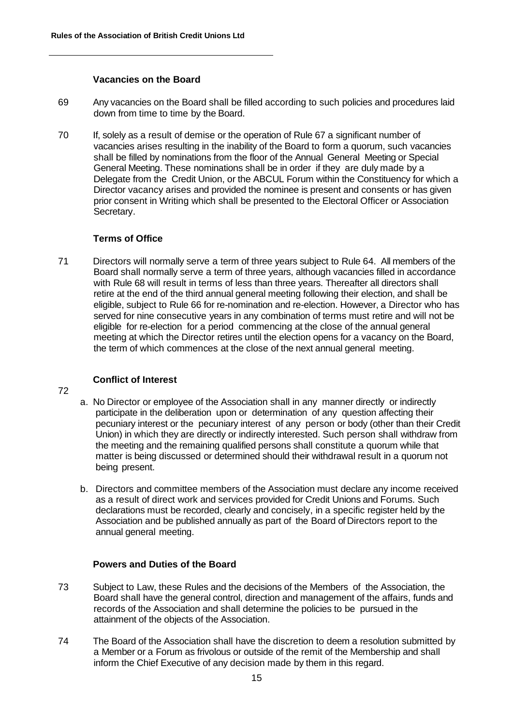#### **Vacancies on the Board**

- 69 Any vacancies on the Board shall be filled according to such policies and procedures laid down from time to time by the Board.
- 70 If, solely as a result of demise or the operation of Rule 67 a significant number of vacancies arises resulting in the inability of the Board to form a quorum, such vacancies shall be filled by nominations from the floor of the Annual General Meeting or Special General Meeting. These nominations shall be in order if they are duly made by a Delegate from the Credit Union, or the ABCUL Forum within the Constituency for which a Director vacancy arises and provided the nominee is present and consents or has given prior consent in Writing which shall be presented to the Electoral Officer or Association Secretary.

#### **Terms of Office**

71 Directors will normally serve a term of three years subject to Rule 64. All members of the Board shall normally serve a term of three years, although vacancies filled in accordance with Rule 68 will result in terms of less than three years. Thereafter all directors shall retire at the end of the third annual general meeting following their election, and shall be eligible, subject to Rule 66 for re-nomination and re-election. However, a Director who has served for nine consecutive years in any combination of terms must retire and will not be eligible for re-election for a period commencing at the close of the annual general meeting at which the Director retires until the election opens for a vacancy on the Board, the term of which commences at the close of the next annual general meeting.

# **Conflict of Interest**

72

- a. No Director or employee of the Association shall in any manner directly or indirectly participate in the deliberation upon or determination of any question affecting their pecuniary interest or the pecuniary interest of any person or body (other than their Credit Union) in which they are directly or indirectly interested. Such person shall withdraw from the meeting and the remaining qualified persons shall constitute a quorum while that matter is being discussed or determined should their withdrawal result in a quorum not being present.
- b. Directors and committee members of the Association must declare any income received as a result of direct work and services provided for Credit Unions and Forums. Such declarations must be recorded, clearly and concisely, in a specific register held by the Association and be published annually as part of the Board of Directors report to the annual general meeting.

# **Powers and Duties of the Board**

- 73 Subject to Law, these Rules and the decisions of the Members of the Association, the Board shall have the general control, direction and management of the affairs, funds and records of the Association and shall determine the policies to be pursued in the attainment of the objects of the Association.
- 74 The Board of the Association shall have the discretion to deem a resolution submitted by a Member or a Forum as frivolous or outside of the remit of the Membership and shall inform the Chief Executive of any decision made by them in this regard.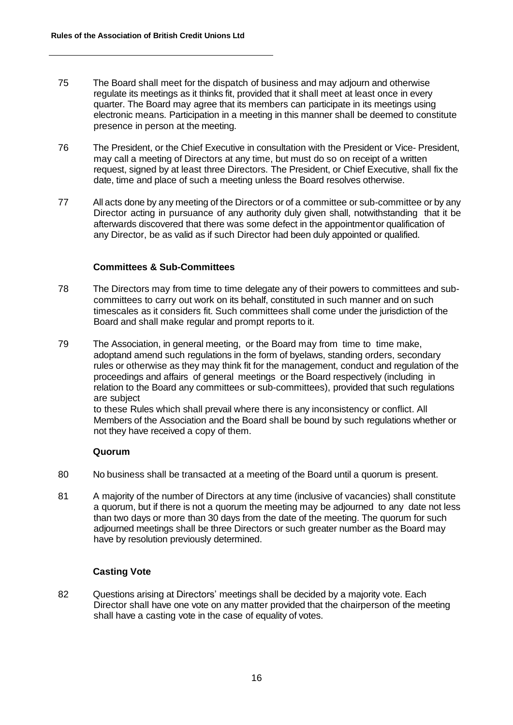- 75 The Board shall meet for the dispatch of business and may adjourn and otherwise regulate its meetings as it thinks fit, provided that it shall meet at least once in every quarter. The Board may agree that its members can participate in its meetings using electronic means. Participation in a meeting in this manner shall be deemed to constitute presence in person at the meeting.
- 76 The President, or the Chief Executive in consultation with the President or Vice- President, may call a meeting of Directors at any time, but must do so on receipt of a written request, signed by at least three Directors. The President, or Chief Executive, shall fix the date, time and place of such a meeting unless the Board resolves otherwise.
- 77 All acts done by any meeting of the Directors or of a committee or sub-committee or by any Director acting in pursuance of any authority duly given shall, notwithstanding that it be afterwards discovered that there was some defect in the appointmentor qualification of any Director, be as valid as if such Director had been duly appointed or qualified.

#### **Committees & Sub-Committees**

- 78 The Directors may from time to time delegate any of their powers to committees and subcommittees to carry out work on its behalf, constituted in such manner and on such timescales as it considers fit. Such committees shall come under the jurisdiction of the Board and shall make regular and prompt reports to it.
- 79 The Association, in general meeting, or the Board may from time to time make, adoptand amend such regulations in the form of byelaws, standing orders, secondary rules or otherwise as they may think fit for the management, conduct and regulation of the proceedings and affairs of general meetings or the Board respectively (including in relation to the Board any committees or sub-committees), provided that such regulations are subject

to these Rules which shall prevail where there is any inconsistency or conflict. All Members of the Association and the Board shall be bound by such regulations whether or not they have received a copy of them.

# **Quorum**

- 80 No business shall be transacted at a meeting of the Board until a quorum is present.
- 81 A majority of the number of Directors at any time (inclusive of vacancies) shall constitute a quorum, but if there is not a quorum the meeting may be adjourned to any date not less than two days or more than 30 days from the date of the meeting. The quorum for such adjourned meetings shall be three Directors or such greater number as the Board may have by resolution previously determined.

# **Casting Vote**

82 Questions arising at Directors' meetings shall be decided by a majority vote. Each Director shall have one vote on any matter provided that the chairperson of the meeting shall have a casting vote in the case of equality of votes.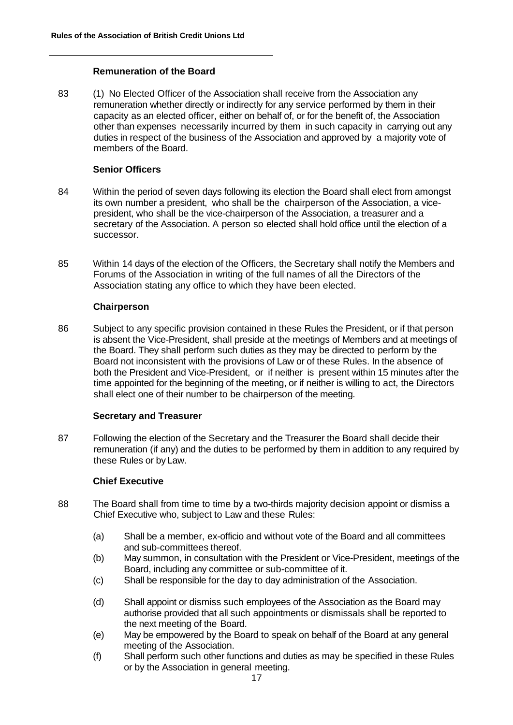### **Remuneration of the Board**

83 (1) No Elected Officer of the Association shall receive from the Association any remuneration whether directly or indirectly for any service performed by them in their capacity as an elected officer, either on behalf of, or for the benefit of, the Association other than expenses necessarily incurred by them in such capacity in carrying out any duties in respect of the business of the Association and approved by a majority vote of members of the Board.

#### **Senior Officers**

- 84 Within the period of seven days following its election the Board shall elect from amongst its own number a president, who shall be the chairperson of the Association, a vicepresident, who shall be the vice-chairperson of the Association, a treasurer and a secretary of the Association. A person so elected shall hold office until the election of a successor.
- 85 Within 14 days of the election of the Officers, the Secretary shall notify the Members and Forums of the Association in writing of the full names of all the Directors of the Association stating any office to which they have been elected.

#### **Chairperson**

86 Subject to any specific provision contained in these Rules the President, or if that person is absent the Vice-President, shall preside at the meetings of Members and at meetings of the Board. They shall perform such duties as they may be directed to perform by the Board not inconsistent with the provisions of Law or of these Rules. In the absence of both the President and Vice-President, or if neither is present within 15 minutes after the time appointed for the beginning of the meeting, or if neither is willing to act, the Directors shall elect one of their number to be chairperson of the meeting.

#### **Secretary and Treasurer**

87 Following the election of the Secretary and the Treasurer the Board shall decide their remuneration (if any) and the duties to be performed by them in addition to any required by these Rules or byLaw.

# **Chief Executive**

- 88 The Board shall from time to time by a two-thirds majority decision appoint or dismiss a Chief Executive who, subject to Law and these Rules:
	- (a) Shall be a member, ex-officio and without vote of the Board and all committees and sub-committees thereof.
	- (b) May summon, in consultation with the President or Vice-President, meetings of the Board, including any committee or sub-committee of it.
	- (c) Shall be responsible for the day to day administration of the Association.
	- (d) Shall appoint or dismiss such employees of the Association as the Board may authorise provided that all such appointments or dismissals shall be reported to the next meeting of the Board.
	- (e) May be empowered by the Board to speak on behalf of the Board at any general meeting of the Association.
	- (f) Shall perform such other functions and duties as may be specified in these Rules or by the Association in general meeting.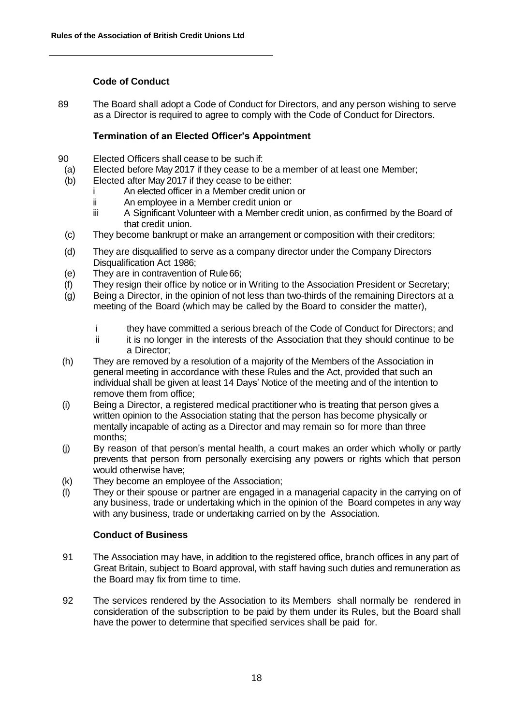# **Code of Conduct**

89 The Board shall adopt a Code of Conduct for Directors, and any person wishing to serve as a Director is required to agree to comply with the Code of Conduct for Directors.

# **Termination of an Elected Officer's Appointment**

- 90 Elected Officers shall cease to be such if:
- (a) Elected before May 2017 if they cease to be a member of at least one Member;
- (b) Elected after May 2017 if they cease to be either:
	- i An elected officer in a Member credit union or
	- ii An employee in a Member credit union or
	- iii A Significant Volunteer with a Member credit union, as confirmed by the Board of that credit union.
- (c) They become bankrupt or make an arrangement or composition with their creditors;
- (d) They are disqualified to serve as a company director under the Company Directors Disqualification Act 1986;
- (e) They are in contravention of Rule66;
- (f) They resign their office by notice or in Writing to the Association President or Secretary;
- (g) Being a Director, in the opinion of not less than two-thirds of the remaining Directors at a meeting of the Board (which may be called by the Board to consider the matter),
	- i they have committed a serious breach of the Code of Conduct for Directors; and<br>ii it is no longer in the interests of the Association that they should continue to be
	- it is no longer in the interests of the Association that they should continue to be a Director;
- (h) They are removed by a resolution of a majority of the Members of the Association in general meeting in accordance with these Rules and the Act, provided that such an individual shall be given at least 14 Days' Notice of the meeting and of the intention to remove them from office;
- (i) Being a Director, a registered medical practitioner who is treating that person gives a written opinion to the Association stating that the person has become physically or mentally incapable of acting as a Director and may remain so for more than three months;
- (j) By reason of that person's mental health, a court makes an order which wholly or partly prevents that person from personally exercising any powers or rights which that person would otherwise have;
- (k) They become an employee of the Association;
- (l) They or their spouse or partner are engaged in a managerial capacity in the carrying on of any business, trade or undertaking which in the opinion of the Board competes in any way with any business, trade or undertaking carried on by the Association.

# **Conduct of Business**

- 91 The Association may have, in addition to the registered office, branch offices in any part of Great Britain, subject to Board approval, with staff having such duties and remuneration as the Board may fix from time to time.
- 92 The services rendered by the Association to its Members shall normally be rendered in consideration of the subscription to be paid by them under its Rules, but the Board shall have the power to determine that specified services shall be paid for.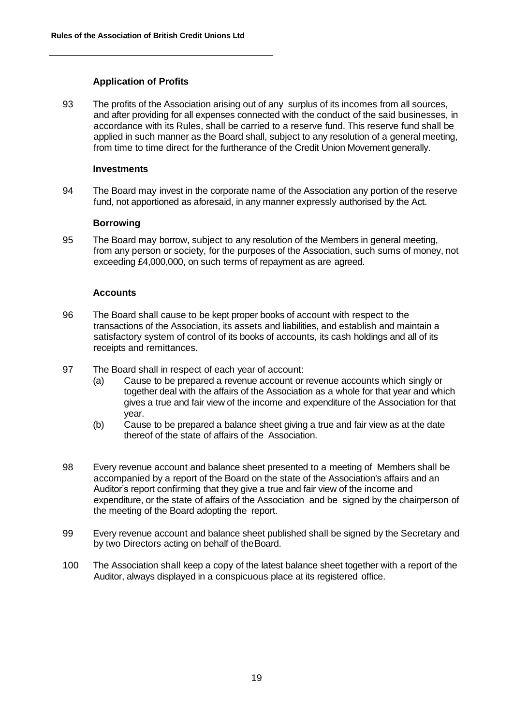# **Application of Profits**

93 The profits of the Association arising out of any surplus of its incomes from all sources, and after providing for all expenses connected with the conduct of the said businesses, in accordance with its Rules, shall be carried to a reserve fund. This reserve fund shall be applied in such manner as the Board shall, subject to any resolution of a general meeting, from time to time direct for the furtherance of the Credit Union Movement generally.

#### **Investments**

94 The Board may invest in the corporate name of the Association any portion of the reserve fund, not apportioned as aforesaid, in any manner expressly authorised by the Act.

#### **Borrowing**

95 The Board may borrow, subject to any resolution of the Members in general meeting, from any person or society, for the purposes of the Association, such sums of money, not exceeding £4,000,000, on such terms of repayment as are agreed.

#### **Accounts**

- 96 The Board shall cause to be kept proper books of account with respect to the transactions of the Association, its assets and liabilities, and establish and maintain a satisfactory system of control of its books of accounts, its cash holdings and all of its receipts and remittances.
- 97 The Board shall in respect of each year of account:
	- (a) Cause to be prepared a revenue account or revenue accounts which singly or together deal with the affairs of the Association as a whole for that year and which gives a true and fair view of the income and expenditure of the Association for that year.
	- (b) Cause to be prepared a balance sheet giving a true and fair view as at the date thereof of the state of affairs of the Association.
- 98 Every revenue account and balance sheet presented to a meeting of Members shall be accompanied by a report of the Board on the state of the Association's affairs and an Auditor's report confirming that they give a true and fair view of the income and expenditure, or the state of affairs of the Association and be signed by the chairperson of the meeting of the Board adopting the report.
- 99 Every revenue account and balance sheet published shall be signed by the Secretary and by two Directors acting on behalf of theBoard.
- 100 The Association shall keep a copy of the latest balance sheet together with a report of the Auditor, always displayed in a conspicuous place at its registered office.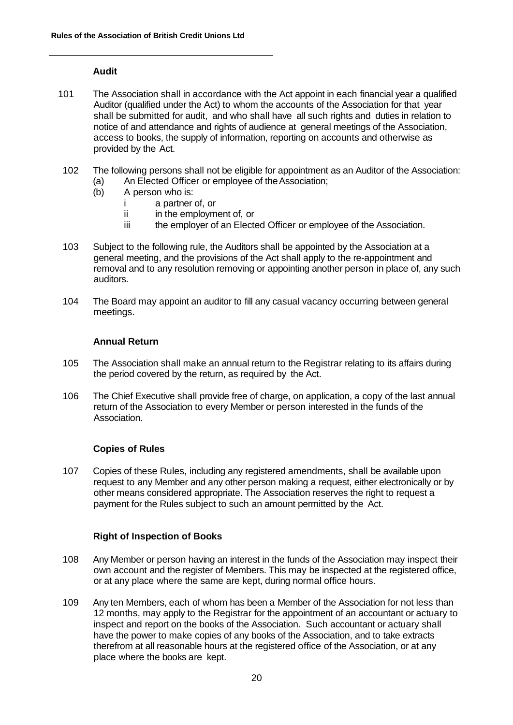### **Audit**

- 101 The Association shall in accordance with the Act appoint in each financial year a qualified Auditor (qualified under the Act) to whom the accounts of the Association for that year shall be submitted for audit, and who shall have all such rights and duties in relation to notice of and attendance and rights of audience at general meetings of the Association, access to books, the supply of information, reporting on accounts and otherwise as provided by the Act.
- 102 The following persons shall not be eligible for appointment as an Auditor of the Association: (a) An Elected Officer or employee of theAssociation;
	- (b) A person who is:
		- i a partner of, or
		- ii in the employment of, or
		- iii the employer of an Elected Officer or employee of the Association.
- 103 Subject to the following rule, the Auditors shall be appointed by the Association at a general meeting, and the provisions of the Act shall apply to the re-appointment and removal and to any resolution removing or appointing another person in place of, any such auditors.
- 104 The Board may appoint an auditor to fill any casual vacancy occurring between general meetings.

#### **Annual Return**

- 105 The Association shall make an annual return to the Registrar relating to its affairs during the period covered by the return, as required by the Act.
- 106 The Chief Executive shall provide free of charge, on application, a copy of the last annual return of the Association to every Member or person interested in the funds of the Association.

# **Copies of Rules**

107 Copies of these Rules, including any registered amendments, shall be available upon request to any Member and any other person making a request, either electronically or by other means considered appropriate. The Association reserves the right to request a payment for the Rules subject to such an amount permitted by the Act.

# **Right of Inspection of Books**

- 108 Any Member or person having an interest in the funds of the Association may inspect their own account and the register of Members. This may be inspected at the registered office, or at any place where the same are kept, during normal office hours.
- 109 Any ten Members, each of whom has been a Member of the Association for not less than 12 months, may apply to the Registrar for the appointment of an accountant or actuary to inspect and report on the books of the Association. Such accountant or actuary shall have the power to make copies of any books of the Association, and to take extracts therefrom at all reasonable hours at the registered office of the Association, or at any place where the books are kept.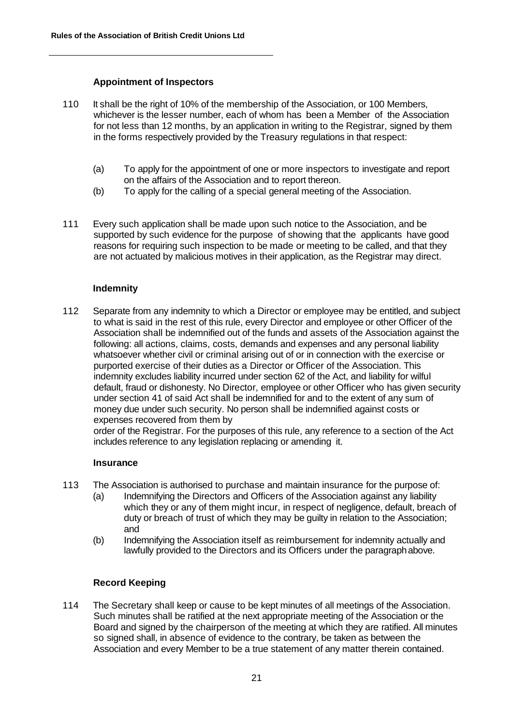### **Appointment of Inspectors**

- 110 It shall be the right of 10% of the membership of the Association, or 100 Members, whichever is the lesser number, each of whom has been a Member of the Association for not less than 12 months, by an application in writing to the Registrar, signed by them in the forms respectively provided by the Treasury regulations in that respect:
	- (a) To apply for the appointment of one or more inspectors to investigate and report on the affairs of the Association and to report thereon.
	- (b) To apply for the calling of a special general meeting of the Association.
- 111 Every such application shall be made upon such notice to the Association, and be supported by such evidence for the purpose of showing that the applicants have good reasons for requiring such inspection to be made or meeting to be called, and that they are not actuated by malicious motives in their application, as the Registrar may direct.

#### **Indemnity**

112 Separate from any indemnity to which a Director or employee may be entitled, and subject to what is said in the rest of this rule, every Director and employee or other Officer of the Association shall be indemnified out of the funds and assets of the Association against the following: all actions, claims, costs, demands and expenses and any personal liability whatsoever whether civil or criminal arising out of or in connection with the exercise or purported exercise of their duties as a Director or Officer of the Association. This indemnity excludes liability incurred under section 62 of the Act, and liability for wilful default, fraud or dishonesty. No Director, employee or other Officer who has given security under section 41 of said Act shall be indemnified for and to the extent of any sum of money due under such security. No person shall be indemnified against costs or expenses recovered from them by

order of the Registrar. For the purposes of this rule, any reference to a section of the Act includes reference to any legislation replacing or amending it.

#### **Insurance**

- 113 The Association is authorised to purchase and maintain insurance for the purpose of:
	- (a) Indemnifying the Directors and Officers of the Association against any liability which they or any of them might incur, in respect of negligence, default, breach of duty or breach of trust of which they may be guilty in relation to the Association; and
	- (b) Indemnifying the Association itself as reimbursement for indemnity actually and lawfully provided to the Directors and its Officers under the paragraphabove.

#### **Record Keeping**

114 The Secretary shall keep or cause to be kept minutes of all meetings of the Association. Such minutes shall be ratified at the next appropriate meeting of the Association or the Board and signed by the chairperson of the meeting at which they are ratified. All minutes so signed shall, in absence of evidence to the contrary, be taken as between the Association and every Member to be a true statement of any matter therein contained.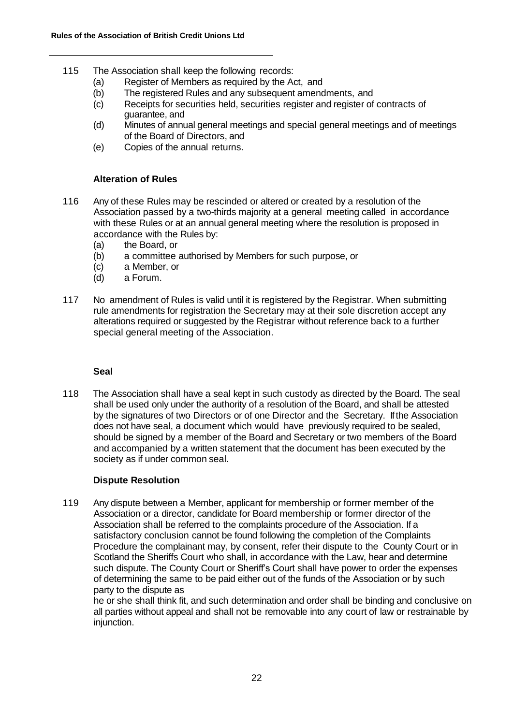- 115 The Association shall keep the following records:
	- (a) Register of Members as required by the Act, and
	- (b) The registered Rules and any subsequent amendments, and
	- (c) Receipts for securities held, securities register and register of contracts of guarantee, and
	- (d) Minutes of annual general meetings and special general meetings and of meetings of the Board of Directors, and
	- (e) Copies of the annual returns.

### **Alteration of Rules**

- 116 Any of these Rules may be rescinded or altered or created by a resolution of the Association passed by a two-thirds majority at a general meeting called in accordance with these Rules or at an annual general meeting where the resolution is proposed in accordance with the Rules by:
	- (a) the Board, or
	- (b) a committee authorised by Members for such purpose, or
	- (c) a Member, or
	- (d) a Forum.
- 117 No amendment of Rules is valid until it is registered by the Registrar. When submitting rule amendments for registration the Secretary may at their sole discretion accept any alterations required or suggested by the Registrar without reference back to a further special general meeting of the Association.

#### **Seal**

118 The Association shall have a seal kept in such custody as directed by the Board. The seal shall be used only under the authority of a resolution of the Board, and shall be attested by the signatures of two Directors or of one Director and the Secretary. If the Association does not have seal, a document which would have previously required to be sealed, should be signed by a member of the Board and Secretary or two members of the Board and accompanied by a written statement that the document has been executed by the society as if under common seal.

# **Dispute Resolution**

119 Any dispute between a Member, applicant for membership or former member of the Association or a director, candidate for Board membership or former director of the Association shall be referred to the complaints procedure of the Association. If a satisfactory conclusion cannot be found following the completion of the Complaints Procedure the complainant may, by consent, refer their dispute to the County Court or in Scotland the Sheriffs Court who shall, in accordance with the Law, hear and determine such dispute. The County Court or Sheriff's Court shall have power to order the expenses of determining the same to be paid either out of the funds of the Association or by such party to the dispute as

he or she shall think fit, and such determination and order shall be binding and conclusive on all parties without appeal and shall not be removable into any court of law or restrainable by injunction.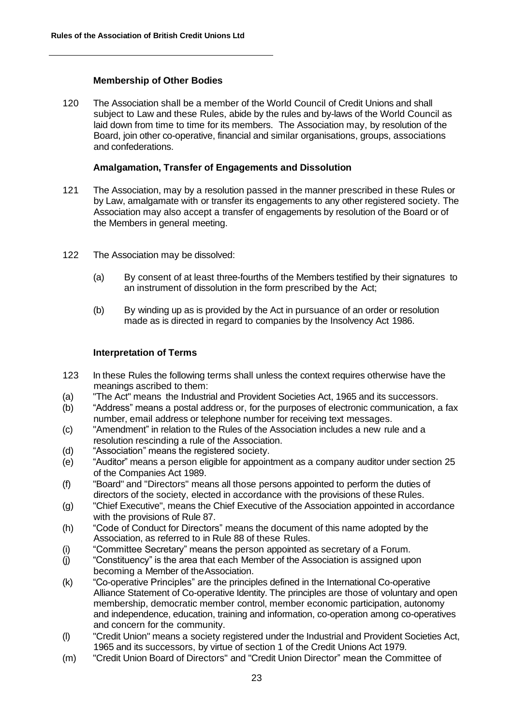### **Membership of Other Bodies**

120 The Association shall be a member of the World Council of Credit Unions and shall subject to Law and these Rules, abide by the rules and by-laws of the World Council as laid down from time to time for its members. The Association may, by resolution of the Board, join other co-operative, financial and similar organisations, groups, associations and confederations.

### **Amalgamation, Transfer of Engagements and Dissolution**

- 121 The Association, may by a resolution passed in the manner prescribed in these Rules or by Law, amalgamate with or transfer its engagements to any other registered society. The Association may also accept a transfer of engagements by resolution of the Board or of the Members in general meeting.
- 122 The Association may be dissolved:
	- (a) By consent of at least three-fourths of the Members testified by their signatures to an instrument of dissolution in the form prescribed by the Act;
	- (b) By winding up as is provided by the Act in pursuance of an order or resolution made as is directed in regard to companies by the Insolvency Act 1986.

#### **Interpretation of Terms**

- 123 In these Rules the following terms shall unless the context requires otherwise have the meanings ascribed to them:
- (a) "The Act" means the Industrial and Provident Societies Act, 1965 and its successors.
- (b) "Address" means a postal address or, for the purposes of electronic communication, a fax number, email address or telephone number for receiving text messages.
- (c) "Amendment" in relation to the Rules of the Association includes a new rule and a resolution rescinding a rule of the Association.
- (d) "Association" means the registered society.
- (e) "Auditor" means a person eligible for appointment as a company auditor under section 25 of the Companies Act 1989.
- (f) "Board" and "Directors" means all those persons appointed to perform the duties of directors of the society, elected in accordance with the provisions of these Rules.
- (g) "Chief Executive", means the Chief Executive of the Association appointed in accordance with the provisions of Rule 87.
- (h) "Code of Conduct for Directors" means the document of this name adopted by the Association, as referred to in Rule 88 of these Rules.
- (i) "Committee Secretary" means the person appointed as secretary of a Forum.
- (j) "Constituency" is the area that each Member of the Association is assigned upon becoming a Member of theAssociation.
- (k) "Co-operative Principles" are the principles defined in the International Co-operative Alliance Statement of Co-operative Identity. The principles are those of voluntary and open membership, democratic member control, member economic participation, autonomy and independence, education, training and information, co-operation among co-operatives and concern for the community.
- (l) "Credit Union" means a society registered under the Industrial and Provident Societies Act, 1965 and its successors, by virtue of section 1 of the Credit Unions Act 1979.
- (m) "Credit Union Board of Directors" and "Credit Union Director" mean the Committee of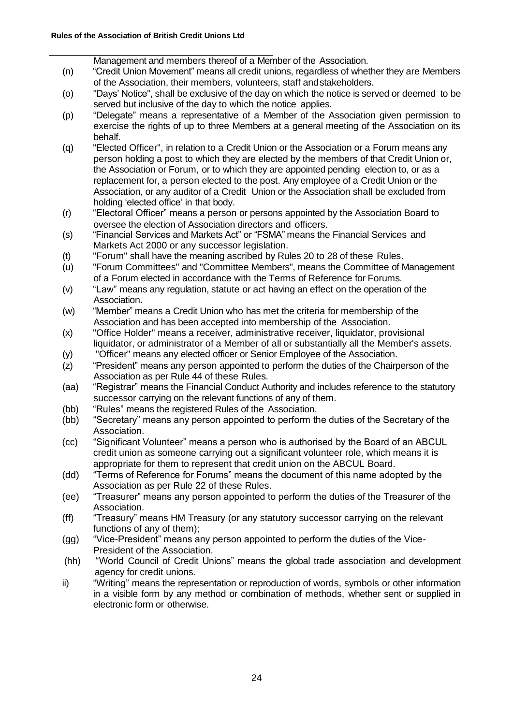Management and members thereof of a Member of the Association.

- (n) "Credit Union Movement" means all credit unions, regardless of whether they are Members of the Association, their members, volunteers, staff andstakeholders.
- (o) "Days' Notice", shall be exclusive of the day on which the notice is served or deemed to be served but inclusive of the day to which the notice applies.
- (p) "Delegate" means a representative of a Member of the Association given permission to exercise the rights of up to three Members at a general meeting of the Association on its behalf.
- (q) "Elected Officer", in relation to a Credit Union or the Association or a Forum means any person holding a post to which they are elected by the members of that Credit Union or, the Association or Forum, or to which they are appointed pending election to, or as a replacement for, a person elected to the post. Any employee of a Credit Union or the Association, or any auditor of a Credit Union or the Association shall be excluded from holding 'elected office' in that body.
- (r) "Electoral Officer" means a person or persons appointed by the Association Board to oversee the election of Association directors and officers.
- (s) "Financial Services and Markets Act" or "FSMA" means the Financial Services and Markets Act 2000 or any successor legislation.
- (t) "Forum" shall have the meaning ascribed by Rules 20 to 28 of these Rules.
- (u) "Forum Committees" and "Committee Members", means the Committee of Management of a Forum elected in accordance with the Terms of Reference for Forums.
- (v) "Law" means any regulation, statute or act having an effect on the operation of the Association.
- (w) "Member" means a Credit Union who has met the criteria for membership of the Association and has been accepted into membership of the Association.
- (x) "Office Holder" means a receiver, administrative receiver, liquidator, provisional liquidator, or administrator of a Member of all or substantially all the Member's assets.
- (y) "Officer" means any elected officer or Senior Employee of the Association.
- (z) "President" means any person appointed to perform the duties of the Chairperson of the Association as per Rule 44 of these Rules.
- (aa) "Registrar" means the Financial Conduct Authority and includes reference to the statutory successor carrying on the relevant functions of any of them.
- (bb) "Rules" means the registered Rules of the Association.
- (bb) "Secretary" means any person appointed to perform the duties of the Secretary of the Association.
- (cc) "Significant Volunteer" means a person who is authorised by the Board of an ABCUL credit union as someone carrying out a significant volunteer role, which means it is appropriate for them to represent that credit union on the ABCUL Board.
- (dd) "Terms of Reference for Forums" means the document of this name adopted by the Association as per Rule 22 of these Rules.
- (ee) "Treasurer" means any person appointed to perform the duties of the Treasurer of the Association.
- (ff) "Treasury" means HM Treasury (or any statutory successor carrying on the relevant functions of any of them);
- (gg) "Vice-President" means any person appointed to perform the duties of the Vice-President of the Association.
- (hh) "World Council of Credit Unions" means the global trade association and development agency for credit unions.
- ii) "Writing" means the representation or reproduction of words, symbols or other information in a visible form by any method or combination of methods, whether sent or supplied in electronic form or otherwise.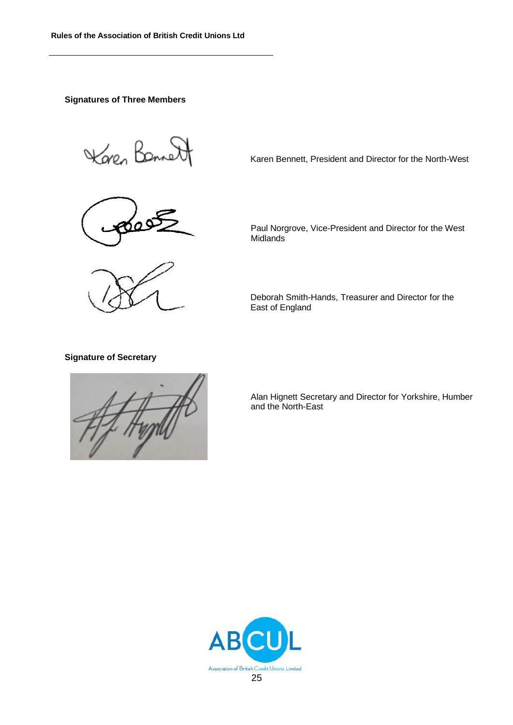#### **Signatures of Three Members**

Karen Bonne



Karen Bennett, President and Director for the North-West

Paul Norgrove, Vice-President and Director for the West Midlands<sup>®</sup>

Deborah Smith-Hands, Treasurer and Director for the East of England

#### **Signature of Secretary**



Alan Hignett Secretary and Director for Yorkshire, Humber and the North-East

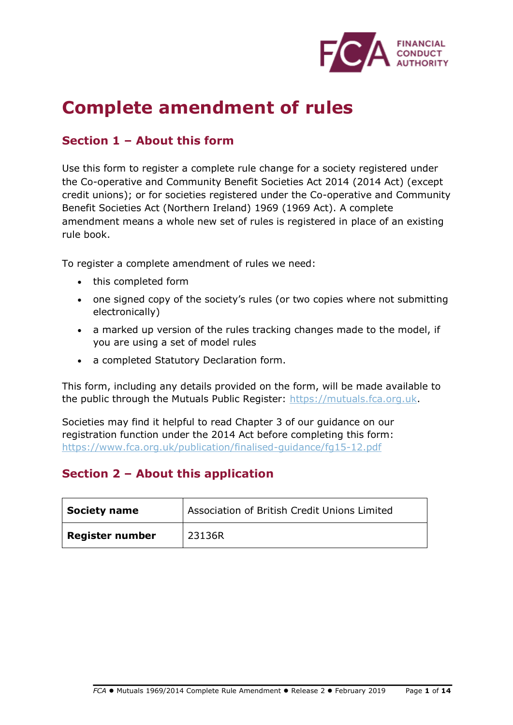

# **Complete amendment of rules**

# **Section 1 – About this form**

Use this form to register a complete rule change for a society registered under the Co-operative and Community Benefit Societies Act 2014 (2014 Act) (except credit unions); or for societies registered under the Co-operative and Community Benefit Societies Act (Northern Ireland) 1969 (1969 Act). A complete amendment means a whole new set of rules is registered in place of an existing rule book.

To register a complete amendment of rules we need:

- this completed form
- one signed copy of the society's rules (or two copies where not submitting electronically)
- a marked up version of the rules tracking changes made to the model, if you are using a set of model rules
- a completed Statutory Declaration form.

This form, including any details provided on the form, will be made available to the public through the Mutuals Public Register: [https://mutuals.fca.org.uk.](https://mutuals.fca.org.uk/)

Societies may find it helpful to read Chapter 3 of our guidance on our registration function under the 2014 Act before completing this form: <https://www.fca.org.uk/publication/finalised-guidance/fg15-12.pdf>

# **Section 2 – About this application**

| Society name    | Association of British Credit Unions Limited |
|-----------------|----------------------------------------------|
| Register number | 23136R                                       |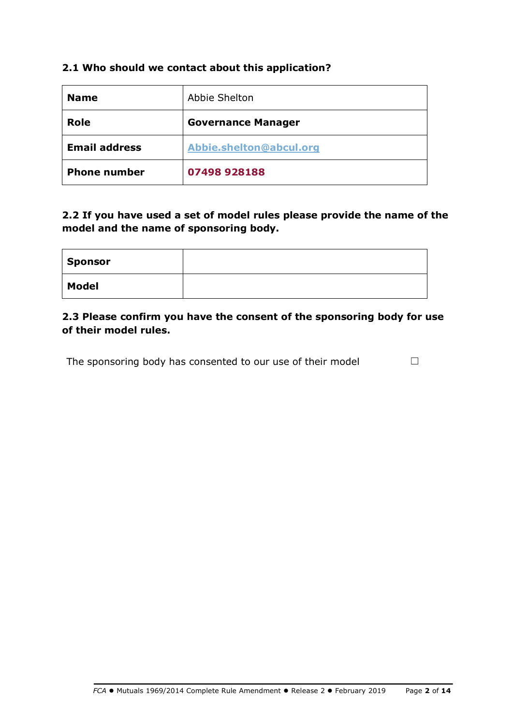# **2.1 Who should we contact about this application?**

| <b>Name</b>          | Abbie Shelton             |
|----------------------|---------------------------|
| Role                 | <b>Governance Manager</b> |
| <b>Email address</b> | Abbie.shelton@abcul.org   |
| <b>Phone number</b>  | 07498 928188              |

**2.2 If you have used a set of model rules please provide the name of the model and the name of sponsoring body.** 

| Sponsor      |  |
|--------------|--|
| <b>Model</b> |  |

# **2.3 Please confirm you have the consent of the sponsoring body for use of their model rules.**

The sponsoring body has consented to our use of their model  $\Box$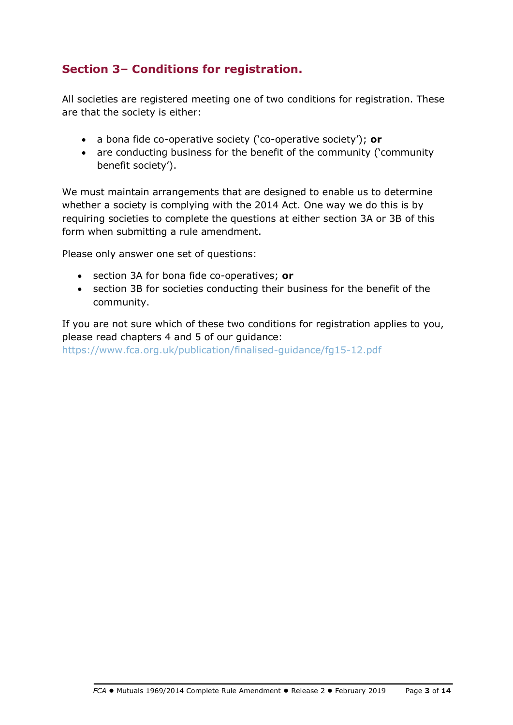# **Section 3– Conditions for registration.**

All societies are registered meeting one of two conditions for registration. These are that the society is either:

- a bona fide co-operative society ('co-operative society'); **or**
- are conducting business for the benefit of the community ('community benefit society').

We must maintain arrangements that are designed to enable us to determine whether a society is complying with the 2014 Act. One way we do this is by requiring societies to complete the questions at either section 3A or 3B of this form when submitting a rule amendment.

Please only answer one set of questions:

- section 3A for bona fide co-operatives; **or**
- section 3B for societies conducting their business for the benefit of the community.

If you are not sure which of these two conditions for registration applies to you, please read chapters 4 and 5 of our guidance:

<https://www.fca.org.uk/publication/finalised-guidance/fg15-12.pdf>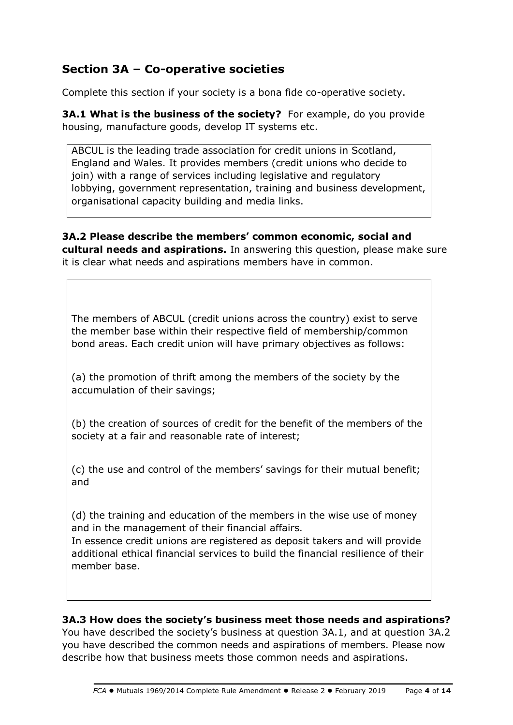# **Section 3A – Co-operative societies**

Complete this section if your society is a bona fide co-operative society.

**3A.1 What is the business of the society?** For example, do you provide housing, manufacture goods, develop IT systems etc.

ABCUL is the leading trade association for credit unions in Scotland, England and Wales. It provides members (credit unions who decide to join) with a range of services including legislative and regulatory lobbying, government representation, training and business development, organisational capacity building and media links.

**3A.2 Please describe the members' common economic, social and cultural needs and aspirations.** In answering this question, please make sure it is clear what needs and aspirations members have in common.

The members of ABCUL (credit unions across the country) exist to serve the member base within their respective field of membership/common bond areas. Each credit union will have primary objectives as follows:

(a) the promotion of thrift among the members of the society by the accumulation of their savings;

(b) the creation of sources of credit for the benefit of the members of the society at a fair and reasonable rate of interest;

(c) the use and control of the members' savings for their mutual benefit; and

(d) the training and education of the members in the wise use of money and in the management of their financial affairs.

In essence credit unions are registered as deposit takers and will provide additional ethical financial services to build the financial resilience of their member base.

# **3A.3 How does the society's business meet those needs and aspirations?**

You have described the society's business at question 3A.1, and at question 3A.2 you have described the common needs and aspirations of members. Please now describe how that business meets those common needs and aspirations.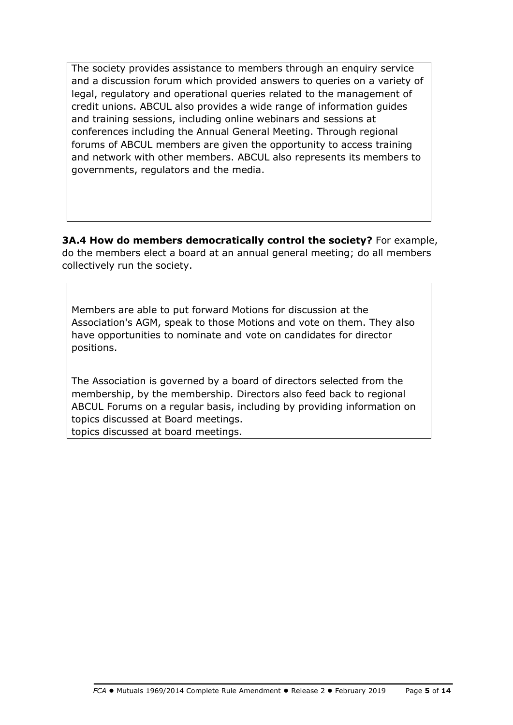The society provides assistance to members through an enquiry service and a discussion forum which provided answers to queries on a variety of legal, regulatory and operational queries related to the management of credit unions. ABCUL also provides a wide range of information guides and training sessions, including online webinars and sessions at conferences including the Annual General Meeting. Through regional forums of ABCUL members are given the opportunity to access training and network with other members. ABCUL also represents its members to governments, regulators and the media.

**3A.4 How do members democratically control the society?** For example, do the members elect a board at an annual general meeting; do all members collectively run the society.

Members are able to put forward Motions for discussion at the Association's AGM, speak to those Motions and vote on them. They also have opportunities to nominate and vote on candidates for director positions.

The Association is governed by a board of directors selected from the membership, by the membership. Directors also feed back to regional ABCUL Forums on a regular basis, including by providing information on topics discussed at Board meetings. topics discussed at board meetings.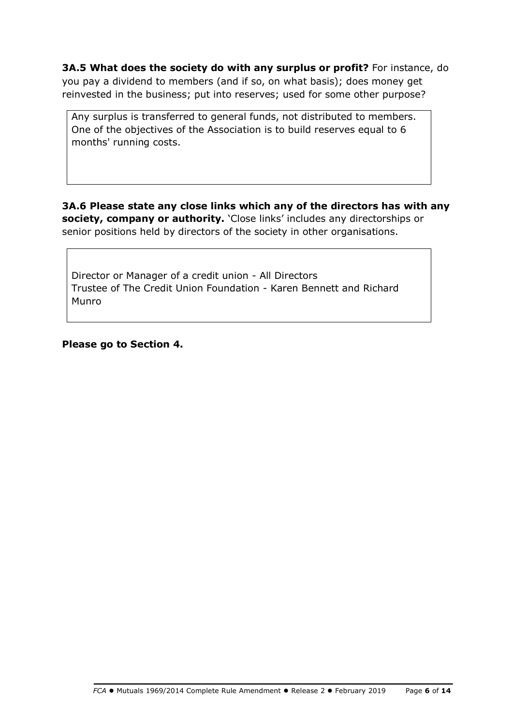**3A.5 What does the society do with any surplus or profit?** For instance, do you pay a dividend to members (and if so, on what basis); does money get reinvested in the business; put into reserves; used for some other purpose?

Any surplus is transferred to general funds, not distributed to members. One of the objectives of the Association is to build reserves equal to 6 months' running costs.

**3A.6 Please state any close links which any of the directors has with any society, company or authority.** 'Close links' includes any directorships or senior positions held by directors of the society in other organisations.

Director or Manager of a credit union - All Directors Trustee of The Credit Union Foundation - Karen Bennett and Richard Munro

**Please go to Section 4.**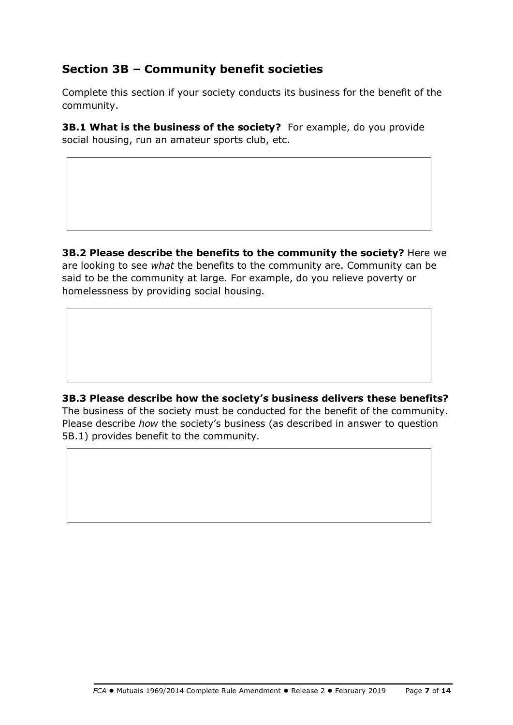# **Section 3B – Community benefit societies**

Complete this section if your society conducts its business for the benefit of the community.

**3B.1 What is the business of the society?** For example, do you provide social housing, run an amateur sports club, etc.

**3B.2 Please describe the benefits to the community the society?** Here we are looking to see *what* the benefits to the community are. Community can be said to be the community at large. For example, do you relieve poverty or homelessness by providing social housing.

**3B.3 Please describe how the society's business delivers these benefits?** The business of the society must be conducted for the benefit of the community. Please describe *how* the society's business (as described in answer to question 5B.1) provides benefit to the community.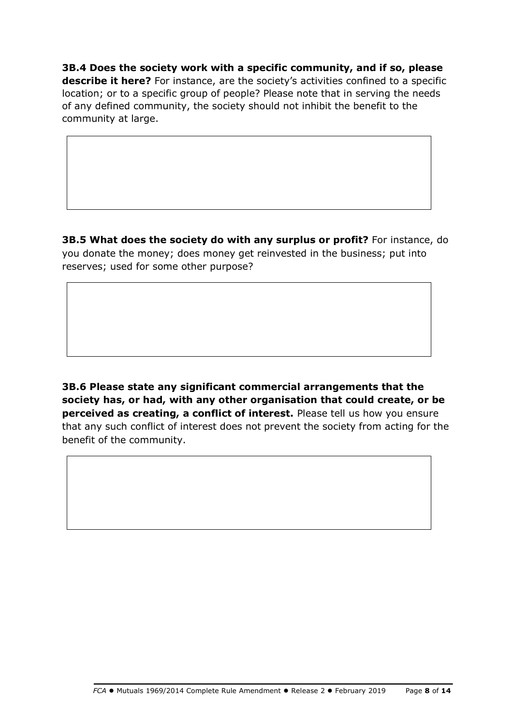**3B.4 Does the society work with a specific community, and if so, please describe it here?** For instance, are the society's activities confined to a specific location; or to a specific group of people? Please note that in serving the needs of any defined community, the society should not inhibit the benefit to the community at large.

**3B.5 What does the society do with any surplus or profit?** For instance, do you donate the money; does money get reinvested in the business; put into reserves; used for some other purpose?

**3B.6 Please state any significant commercial arrangements that the society has, or had, with any other organisation that could create, or be perceived as creating, a conflict of interest.** Please tell us how you ensure that any such conflict of interest does not prevent the society from acting for the benefit of the community.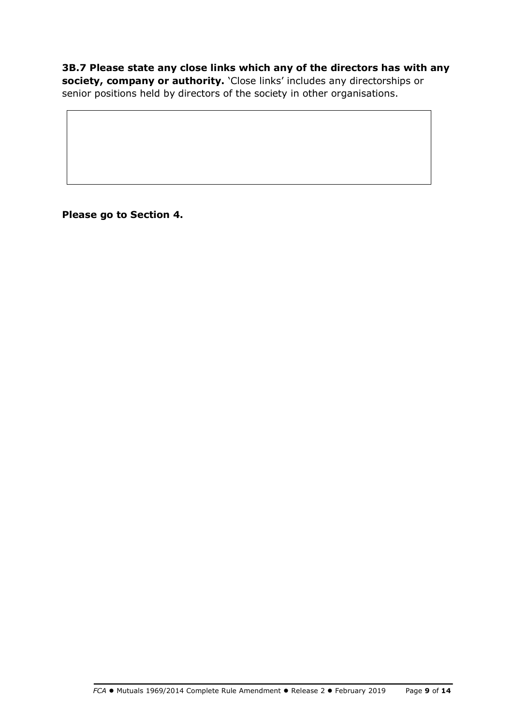**3B.7 Please state any close links which any of the directors has with any society, company or authority.** 'Close links' includes any directorships or senior positions held by directors of the society in other organisations.

**Please go to Section 4.**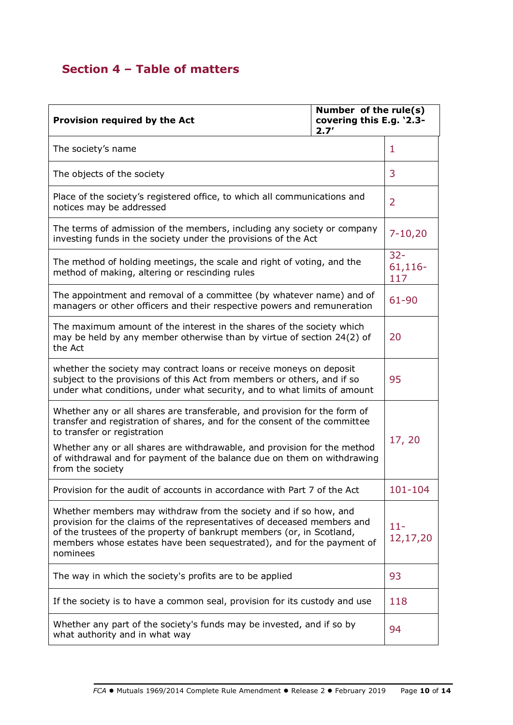# **Section 4 – Table of matters**

| Number of the rule(s)<br>covering this E.g. '2.3-<br>Provision required by the Act<br>2.7'                                                                                                                                                                                                                |  |                          |
|-----------------------------------------------------------------------------------------------------------------------------------------------------------------------------------------------------------------------------------------------------------------------------------------------------------|--|--------------------------|
| The society's name                                                                                                                                                                                                                                                                                        |  | 1                        |
| The objects of the society                                                                                                                                                                                                                                                                                |  | 3                        |
| Place of the society's registered office, to which all communications and<br>notices may be addressed                                                                                                                                                                                                     |  | $\overline{2}$           |
| The terms of admission of the members, including any society or company<br>investing funds in the society under the provisions of the Act                                                                                                                                                                 |  | $7 - 10,20$              |
| The method of holding meetings, the scale and right of voting, and the<br>method of making, altering or rescinding rules                                                                                                                                                                                  |  | $32 -$<br>61,116-<br>117 |
| The appointment and removal of a committee (by whatever name) and of<br>managers or other officers and their respective powers and remuneration                                                                                                                                                           |  | 61-90                    |
| The maximum amount of the interest in the shares of the society which<br>may be held by any member otherwise than by virtue of section 24(2) of<br>the Act                                                                                                                                                |  | 20                       |
| whether the society may contract loans or receive moneys on deposit<br>subject to the provisions of this Act from members or others, and if so<br>under what conditions, under what security, and to what limits of amount                                                                                |  | 95                       |
| Whether any or all shares are transferable, and provision for the form of<br>transfer and registration of shares, and for the consent of the committee<br>to transfer or registration                                                                                                                     |  | 17, 20                   |
| Whether any or all shares are withdrawable, and provision for the method<br>of withdrawal and for payment of the balance due on them on withdrawing<br>from the society                                                                                                                                   |  |                          |
| Provision for the audit of accounts in accordance with Part 7 of the Act                                                                                                                                                                                                                                  |  | 101-104                  |
| Whether members may withdraw from the society and if so how, and<br>provision for the claims of the representatives of deceased members and<br>of the trustees of the property of bankrupt members (or, in Scotland,<br>members whose estates have been sequestrated), and for the payment of<br>nominees |  | $11 -$<br>12,17,20       |
| The way in which the society's profits are to be applied                                                                                                                                                                                                                                                  |  | 93                       |
| If the society is to have a common seal, provision for its custody and use                                                                                                                                                                                                                                |  | 118                      |
| Whether any part of the society's funds may be invested, and if so by<br>what authority and in what way                                                                                                                                                                                                   |  | 94                       |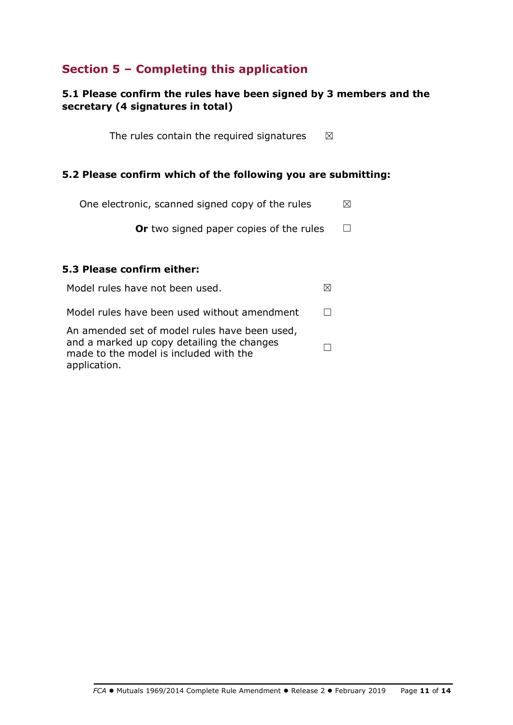# **Section 5 – Completing this application**

# **5.1 Please confirm the rules have been signed by 3 members and the secretary (4 signatures in total)**

The rules contain the required signatures  $\boxtimes$ 

# **5.2 Please confirm which of the following you are submitting:**

One electronic, scanned signed copy of the rules  $\boxtimes$ 

**Or** two signed paper copies of the rules □

# **5.3 Please confirm either:**

Model rules have not been used.  $\boxtimes$ Model rules have been used without amendment  $□$ An amended set of model rules have been used, and a marked up copy detailing the changes made to the model is included with the application. ☐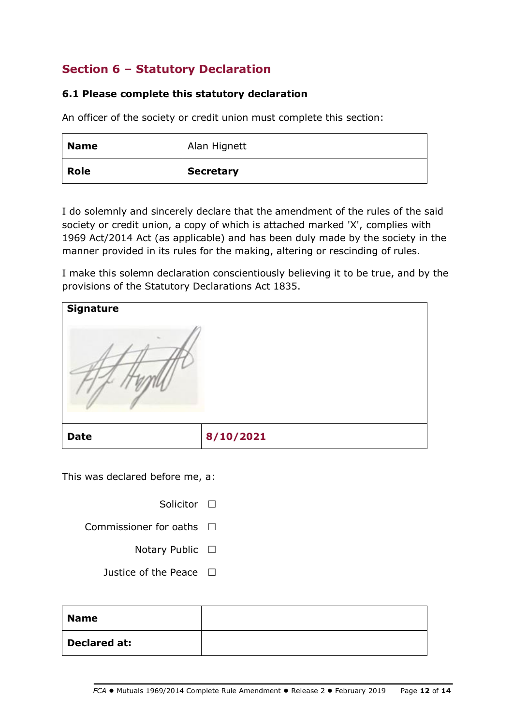# **Section 6 – Statutory Declaration**

# **6.1 Please complete this statutory declaration**

An officer of the society or credit union must complete this section:

| <b>Name</b> | Alan Hignett     |
|-------------|------------------|
| Role        | <b>Secretary</b> |

I do solemnly and sincerely declare that the amendment of the rules of the said society or credit union, a copy of which is attached marked 'X', complies with 1969 Act/2014 Act (as applicable) and has been duly made by the society in the manner provided in its rules for the making, altering or rescinding of rules.

I make this solemn declaration conscientiously believing it to be true, and by the provisions of the Statutory Declarations Act 1835.

| <b>Signature</b> |           |
|------------------|-----------|
|                  |           |
| <b>Date</b>      | 8/10/2021 |

This was declared before me, a:

Solicitor □

Commissioner for oaths □

- Notary Public □
- Justice of the Peace  $□$

| <b>Name</b>         |  |
|---------------------|--|
| <b>Declared at:</b> |  |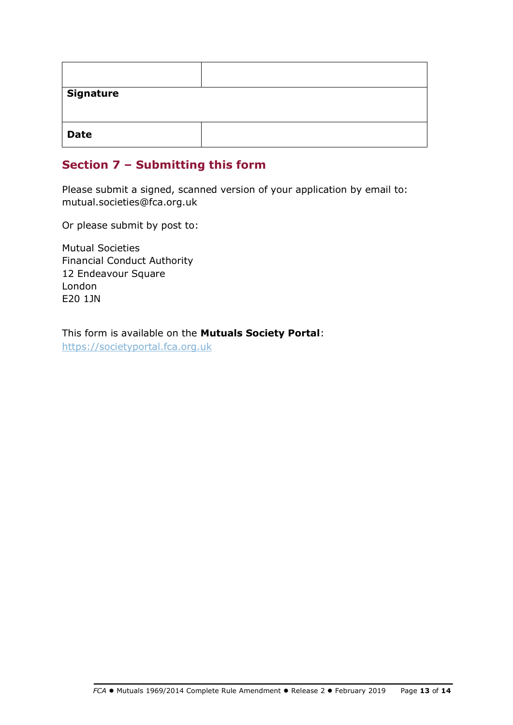| <b>Signature</b> |  |
|------------------|--|
| <b>Date</b>      |  |

# **Section 7 – Submitting this form**

Please submit a signed, scanned version of your application by email to: mutual.societies@fca.org.uk

Or please submit by post to:

Mutual Societies Financial Conduct Authority 12 Endeavour Square London E20 1JN

This form is available on the **Mutuals Society Portal**: [https://societyportal.fca.org.uk](https://societyportal.fca.org.uk/)